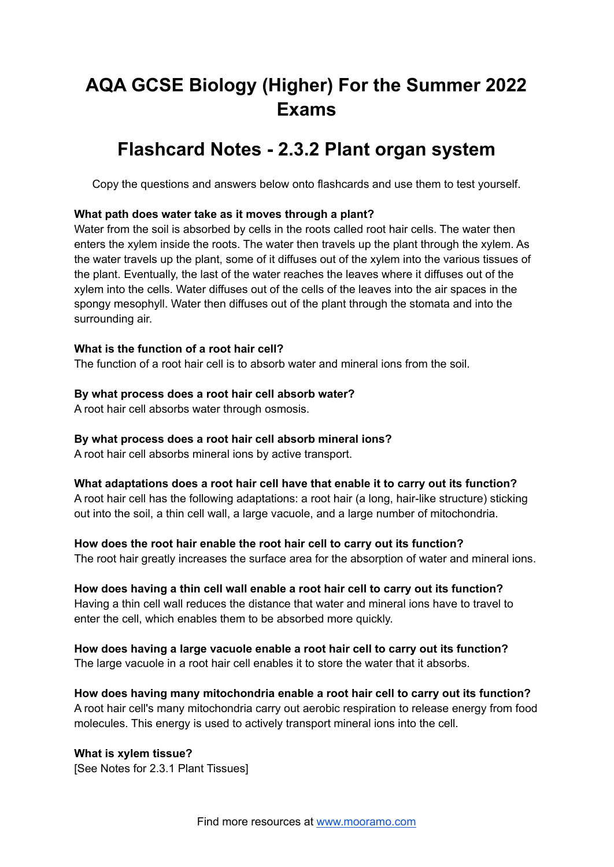# **AQA GCSE Biology (Higher) For the Summer 2022 Exams**

## **Flashcard Notes - 2.3.2 Plant organ system**

Copy the questions and answers below onto flashcards and use them to test yourself.

#### **What path does water take as it moves through a plant?**

Water from the soil is absorbed by cells in the roots called root hair cells. The water then enters the xylem inside the roots. The water then travels up the plant through the xylem. As the water travels up the plant, some of it diffuses out of the xylem into the various tissues of the plant. Eventually, the last of the water reaches the leaves where it diffuses out of the xylem into the cells. Water diffuses out of the cells of the leaves into the air spaces in the spongy mesophyll. Water then diffuses out of the plant through the stomata and into the surrounding air.

#### **What is the function of a root hair cell?**

The function of a root hair cell is to absorb water and mineral ions from the soil.

#### **By what process does a root hair cell absorb water?**

A root hair cell absorbs water through osmosis.

#### **By what process does a root hair cell absorb mineral ions?**

A root hair cell absorbs mineral ions by active transport.

### **What adaptations does a root hair cell have that enable it to carry out its function?**

A root hair cell has the following adaptations: a root hair (a long, hair-like structure) sticking out into the soil, a thin cell wall, a large vacuole, and a large number of mitochondria.

#### **How does the root hair enable the root hair cell to carry out its function?**

The root hair greatly increases the surface area for the absorption of water and mineral ions.

#### **How does having a thin cell wall enable a root hair cell to carry out its function?** Having a thin cell wall reduces the distance that water and mineral ions have to travel to enter the cell, which enables them to be absorbed more quickly.

**How does having a large vacuole enable a root hair cell to carry out its function?** The large vacuole in a root hair cell enables it to store the water that it absorbs.

**How does having many mitochondria enable a root hair cell to carry out its function?** A root hair cell's many mitochondria carry out aerobic respiration to release energy from food molecules. This energy is used to actively transport mineral ions into the cell.

#### **What is xylem tissue?** [See Notes for 2.3.1 Plant Tissues]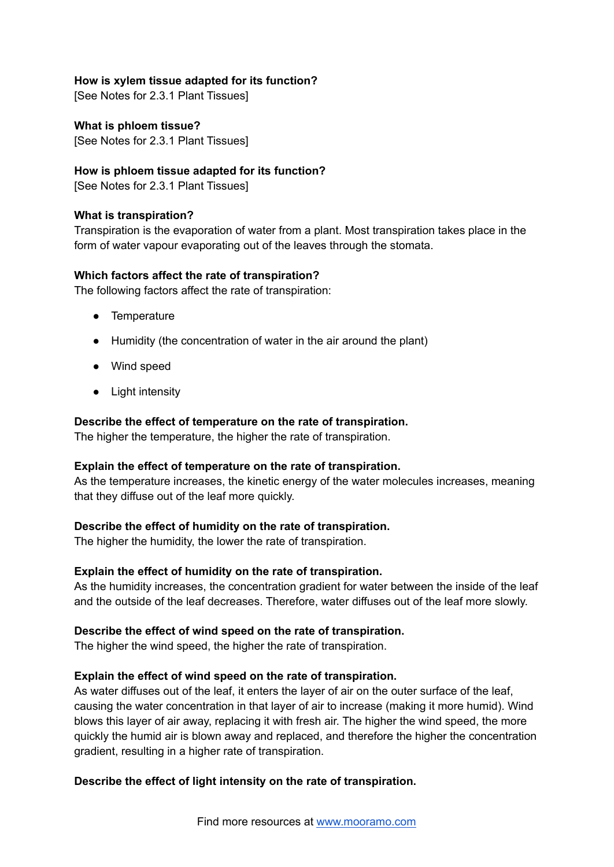#### **How is xylem tissue adapted for its function?**

[See Notes for 2.3.1 Plant Tissues]

**What is phloem tissue?** [See Notes for 2.3.1 Plant Tissues]

#### **How is phloem tissue adapted for its function?**

[See Notes for 2.3.1 Plant Tissues]

#### **What is transpiration?**

Transpiration is the evaporation of water from a plant. Most transpiration takes place in the form of water vapour evaporating out of the leaves through the stomata.

#### **Which factors affect the rate of transpiration?**

The following factors affect the rate of transpiration:

- Temperature
- Humidity (the concentration of water in the air around the plant)
- Wind speed
- Light intensity

#### **Describe the effect of temperature on the rate of transpiration.**

The higher the temperature, the higher the rate of transpiration.

#### **Explain the effect of temperature on the rate of transpiration.**

As the temperature increases, the kinetic energy of the water molecules increases, meaning that they diffuse out of the leaf more quickly.

#### **Describe the effect of humidity on the rate of transpiration.**

The higher the humidity, the lower the rate of transpiration.

#### **Explain the effect of humidity on the rate of transpiration.**

As the humidity increases, the concentration gradient for water between the inside of the leaf and the outside of the leaf decreases. Therefore, water diffuses out of the leaf more slowly.

#### **Describe the effect of wind speed on the rate of transpiration.**

The higher the wind speed, the higher the rate of transpiration.

#### **Explain the effect of wind speed on the rate of transpiration.**

As water diffuses out of the leaf, it enters the layer of air on the outer surface of the leaf, causing the water concentration in that layer of air to increase (making it more humid). Wind blows this layer of air away, replacing it with fresh air. The higher the wind speed, the more quickly the humid air is blown away and replaced, and therefore the higher the concentration gradient, resulting in a higher rate of transpiration.

#### **Describe the effect of light intensity on the rate of transpiration.**